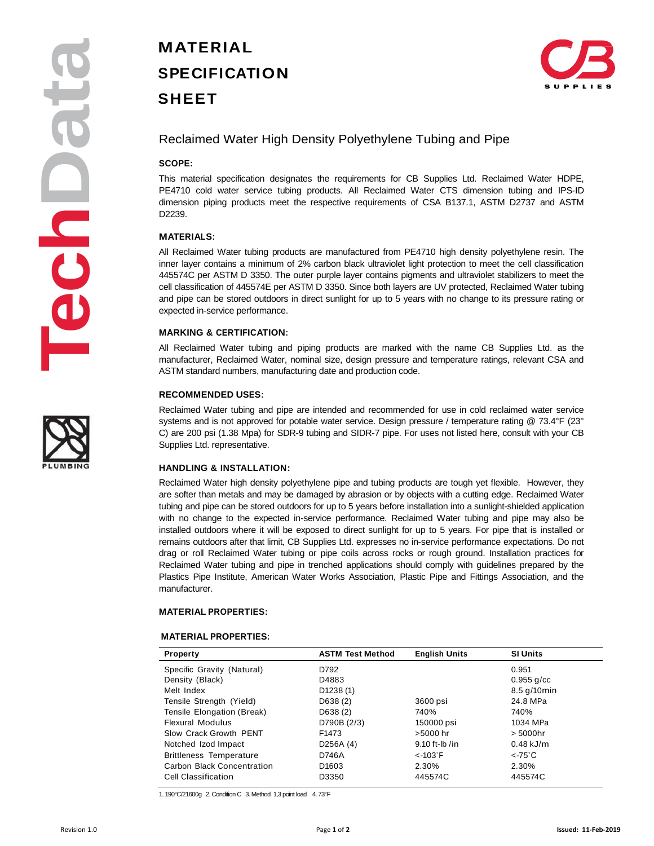# **MATERIAL SPECIFICATION SHEET**



## Reclaimed Water High Density Polyethylene Tubing and Pipe

### **SCOPE:**

This material specification designates the requirements for CB Supplies Ltd. Reclaimed Water HDPE, PE4710 cold water service tubing products. All Reclaimed Water CTS dimension tubing and IPS-ID dimension piping products meet the respective requirements of CSA B137.1, ASTM D2737 and ASTM D2239.

#### **MATERIALS:**

All Reclaimed Water tubing products are manufactured from PE4710 high density polyethylene resin. The inner layer contains a minimum of 2% carbon black ultraviolet light protection to meet the cell classification 445574C per ASTM D 3350. The outer purple layer contains pigments and ultraviolet stabilizers to meet the cell classification of 445574E per ASTM D 3350. Since both layers are UV protected, Reclaimed Water tubing and pipe can be stored outdoors in direct sunlight for up to 5 years with no change to its pressure rating or expected in-service performance.

### **MARKING & CERTIFICATION:**

All Reclaimed Water tubing and piping products are marked with the name CB Supplies Ltd. as the manufacturer, Reclaimed Water, nominal size, design pressure and temperature ratings, relevant CSA and ASTM standard numbers, manufacturing date and production code.

#### **RECOMMENDED USES:**

Reclaimed Water tubing and pipe are intended and recommended for use in cold reclaimed water service systems and is not approved for potable water service. Design pressure / temperature rating @ 73.4°F (23° C) are 200 psi (1.38 Mpa) for SDR-9 tubing and SIDR-7 pipe. For uses not listed here, consult with your CB Supplies Ltd. representative.

### **HANDLING & INSTALLATION:**

Reclaimed Water high density polyethylene pipe and tubing products are tough yet flexible. However, they are softer than metals and may be damaged by abrasion or by objects with a cutting edge. Reclaimed Water tubing and pipe can be stored outdoors for up to 5 years before installation into a sunlight-shielded application with no change to the expected in-service performance. Reclaimed Water tubing and pipe may also be installed outdoors where it will be exposed to direct sunlight for up to 5 years. For pipe that is installed or remains outdoors after that limit, CB Supplies Ltd. expresses no in-service performance expectations. Do not drag or roll Reclaimed Water tubing or pipe coils across rocks or rough ground. Installation practices for Reclaimed Water tubing and pipe in trenched applications should comply with guidelines prepared by the Plastics Pipe Institute, American Water Works Association, Plastic Pipe and Fittings Association, and the manufacturer.

#### **MATERIAL PROPERTIES:**

#### **MATERIAL PROPERTIES:**

| <b>Property</b>                | <b>ASTM Test Method</b> | <b>English Units</b> | <b>SI Units</b>  |
|--------------------------------|-------------------------|----------------------|------------------|
| Specific Gravity (Natural)     | D792                    |                      | 0.951            |
| Density (Black)                | D4883                   |                      | $0.955$ g/cc     |
| Melt Index                     | D1238(1)                |                      | 8.5 g/10min      |
| Tensile Strength (Yield)       | D638(2)                 | 3600 psi             | 24.8 MPa         |
| Tensile Elongation (Break)     | D638(2)                 | 740%                 | 740%             |
| <b>Flexural Modulus</b>        | D790B (2/3)             | 150000 psi           | 1034 MPa         |
| Slow Crack Growth PENT         | F <sub>1473</sub>       | $>5000$ hr           | $> 5000$ hr      |
| Notched Izod Impact            | D256A (4)               | $9.10$ ft-lb /in     | $0.48$ kJ/m      |
| <b>Brittleness Temperature</b> | D746A                   | $<$ -103 $\degree$ F | $\epsilon$ -75°C |
| Carbon Black Concentration     | D <sub>1603</sub>       | 2.30%                | 2.30%            |
| Cell Classification            | D3350                   | 445574C              | 445574C          |

1. 190°C/21600g 2. Condition C 3. Method 1,3 point load 4. 73°F